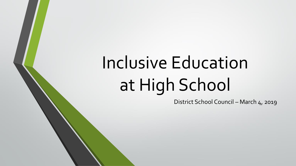# Inclusive Education at High School

District School Council – March 4, 2019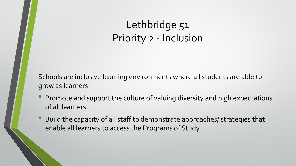## Lethbridge 51 Priority 2 - Inclusion

Schools are inclusive learning environments where all students are able to grow as learners.

- Promote and support the culture of valuing diversity and high expectations of all learners.
- Build the capacity of all staff to demonstrate approaches/ strategies that enable all learners to access the Programs of Study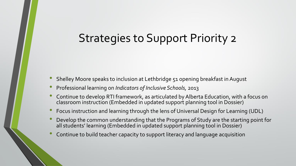## Strategies to Support Priority 2

- Shelley Moore speaks to inclusion at Lethbridge 51 opening breakfast in August
- Professional learning on *Indicators of Inclusive Schools,* <sup>2013</sup>
- Continue to develop RTI framework, as articulated by Alberta Education, with a focus on classroom instruction (Embedded in updated support planning tool in Dossier)
- Focus instruction and learning through the lens of Universal Design for Learning (UDL)
- Develop the common understanding that the Programs of Study are the starting point for all students' learning (Embedded in updated support planning tool in Dossier)
- Continue to build teacher capacity to support literacy and language acquisition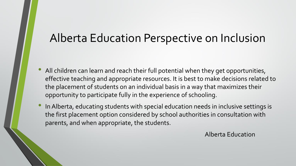#### Alberta Education Perspective on Inclusion

- All children can learn and reach their full potential when they get opportunities, effective teaching and appropriate resources. It is best to make decisions related to the placement of students on an individual basis in a way that maximizes their opportunity to participate fully in the experience of schooling.
- In Alberta, educating students with special education needs in inclusive settings is the first placement option considered by school authorities in consultation with parents, and when appropriate, the students.

Alberta Education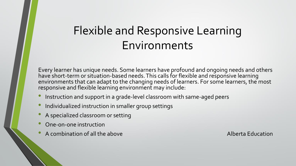## Flexible and Responsive Learning Environments

Every learner has unique needs. Some learners have profound and ongoing needs and others have short-term or situation-based needs. This calls for flexible and responsive learning environments that can adapt to the changing needs of learners. For some learners, the most responsive and flexible learning environment may include:

- Instruction and support in a grade-level classroom with same-aged peers
- Individualized instruction in smaller group settings
- <sup>A</sup> specialized classroom or setting
- One-on-one instruction
- A combination of all the above Alberta Education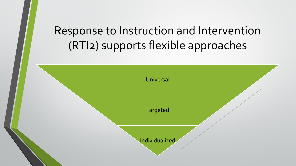# Response to Instruction and Intervention (RTI2) supports flexible approaches

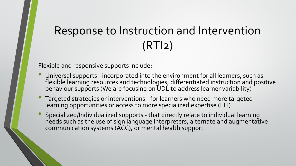# Response to Instruction and Intervention (RTI2)

Flexible and responsive supports include:

- Universal supports incorporated into the environment for all learners, such as flexible learning resources and technologies, differentiated instruction and positive behaviour supports (We are focusing on UDL to address learner variability)
- Targeted strategies or interventions for learners who need more targeted learning opportunities or access to more specialized expertise (LLI)
- Specialized/Individualized supports that directly relate to individual learning needs such as the use of sign language interpreters, alternate and augmentative communication systems (ACC), or mental health support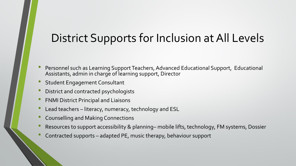## District Supports for Inclusion at All Levels

- Personnel such as Learning Support Teachers, Advanced Educational Support, Educational Assistants, admin in charge of learning support, Director
- Student Engagement Consultant
- District and contracted psychologists
- FNMI District Principal and Liaisons
- Lead teachers literacy, numeracy, technology and ESL
- Counselling and Making Connections
- Resources to support accessibility & planning– mobile lifts, technology, FM systems, Dossier
- Contracted supports adapted PE, music therapy, behaviour support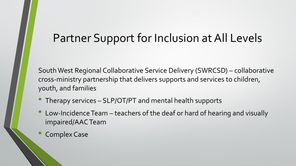## Partner Support for Inclusion at All Levels

South West Regional Collaborative Service Delivery (SWRCSD) – collaborative cross-ministry partnership that delivers supports and services to children, youth, and families

- Therapy services SLP/OT/PT and mental health supports
- Low-Incidence Team teachers of the deaf or hard of hearing and visually impaired/AAC Team
- Complex Case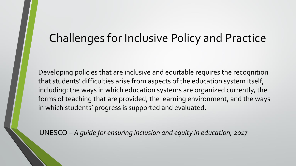## Challenges for Inclusive Policy and Practice

Developing policies that are inclusive and equitable requires the recognition that students' difficulties arise from aspects of the education system itself, including: the ways in which education systems are organized currently, the forms of teaching that are provided, the learning environment, and the ways in which students' progress is supported and evaluated.

UNESCO – *A guide for ensuring inclusion and equity in education, 2017*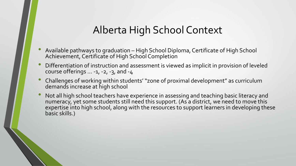#### Alberta High School Context

- Available pathways to graduation High School Diploma, Certificate of High School Achievement, Certificate of High School Completion
- Differentiation of instruction and assessment is viewed as implicit in provision of leveled course offerings  $\dots$  -1, -2, -3, and -4
- Challenges of working within students' "zone of proximal development" as curriculum demands increase at high school
- Not all high school teachers have experience in assessing and teaching basic literacy and numeracy, yet some students still need this support. (As a district, we need to move this expertise into high school, along with the resources to support learners in developing these basic skills.)